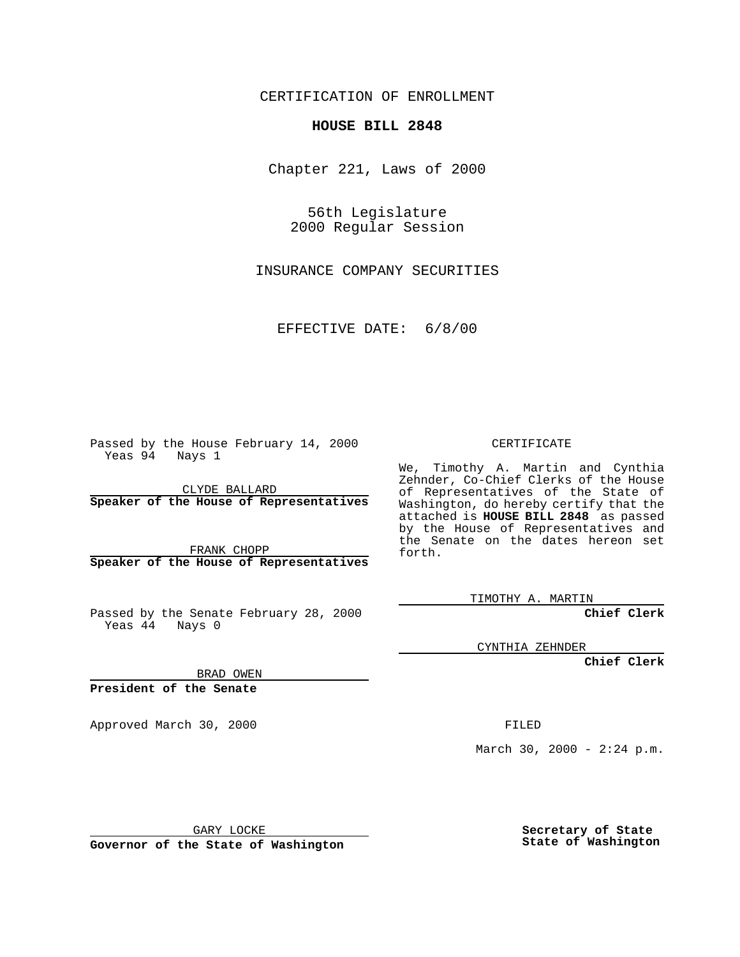CERTIFICATION OF ENROLLMENT

## **HOUSE BILL 2848**

Chapter 221, Laws of 2000

56th Legislature 2000 Regular Session

INSURANCE COMPANY SECURITIES

EFFECTIVE DATE: 6/8/00

Passed by the House February 14, 2000 Yeas 94 Nays 1

CLYDE BALLARD **Speaker of the House of Representatives**

FRANK CHOPP **Speaker of the House of Representatives**

Passed by the Senate February 28, 2000 Yeas 44 Nays 0

CERTIFICATE

We, Timothy A. Martin and Cynthia Zehnder, Co-Chief Clerks of the House of Representatives of the State of Washington, do hereby certify that the attached is **HOUSE BILL 2848** as passed by the House of Representatives and the Senate on the dates hereon set forth.

TIMOTHY A. MARTIN

**Chief Clerk**

CYNTHIA ZEHNDER

**Chief Clerk**

BRAD OWEN

**President of the Senate**

Approved March 30, 2000 FILED

March 30, 2000 -  $2:24$  p.m.

GARY LOCKE

**Governor of the State of Washington**

**Secretary of State State of Washington**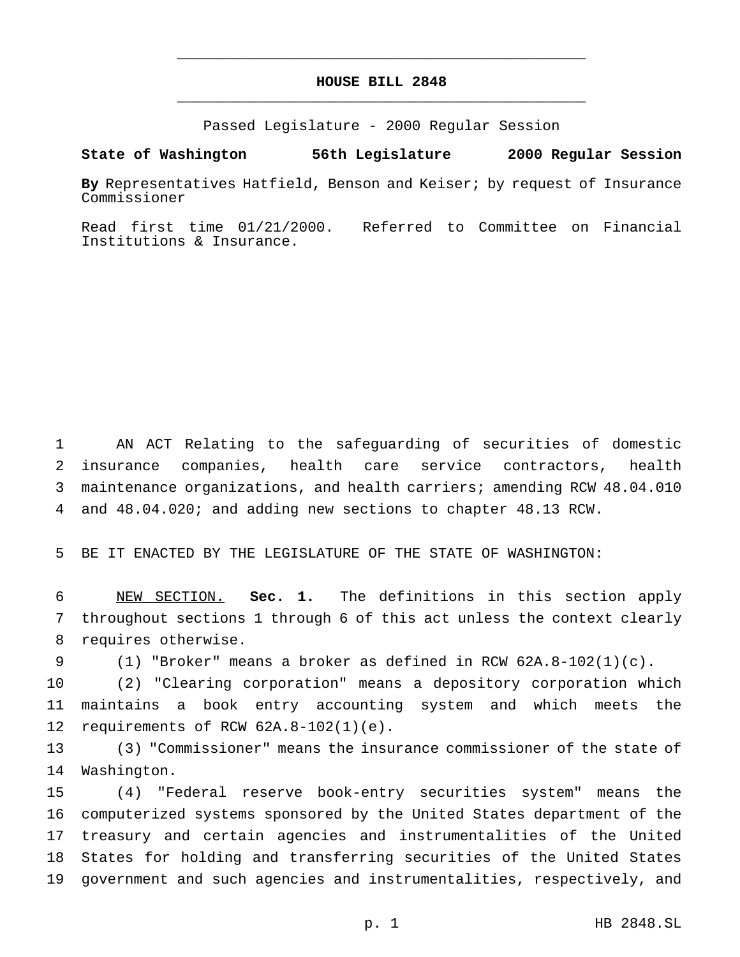## **HOUSE BILL 2848** \_\_\_\_\_\_\_\_\_\_\_\_\_\_\_\_\_\_\_\_\_\_\_\_\_\_\_\_\_\_\_\_\_\_\_\_\_\_\_\_\_\_\_\_\_\_\_

\_\_\_\_\_\_\_\_\_\_\_\_\_\_\_\_\_\_\_\_\_\_\_\_\_\_\_\_\_\_\_\_\_\_\_\_\_\_\_\_\_\_\_\_\_\_\_

Passed Legislature - 2000 Regular Session

## **State of Washington 56th Legislature 2000 Regular Session**

**By** Representatives Hatfield, Benson and Keiser; by request of Insurance Commissioner

Read first time 01/21/2000. Referred to Committee on Financial Institutions & Insurance.

 AN ACT Relating to the safeguarding of securities of domestic insurance companies, health care service contractors, health maintenance organizations, and health carriers; amending RCW 48.04.010 and 48.04.020; and adding new sections to chapter 48.13 RCW.

BE IT ENACTED BY THE LEGISLATURE OF THE STATE OF WASHINGTON:

 NEW SECTION. **Sec. 1.** The definitions in this section apply throughout sections 1 through 6 of this act unless the context clearly requires otherwise.

(1) "Broker" means a broker as defined in RCW 62A.8-102(1)(c).

 (2) "Clearing corporation" means a depository corporation which maintains a book entry accounting system and which meets the requirements of RCW 62A.8-102(1)(e).

 (3) "Commissioner" means the insurance commissioner of the state of Washington.

 (4) "Federal reserve book-entry securities system" means the computerized systems sponsored by the United States department of the treasury and certain agencies and instrumentalities of the United States for holding and transferring securities of the United States government and such agencies and instrumentalities, respectively, and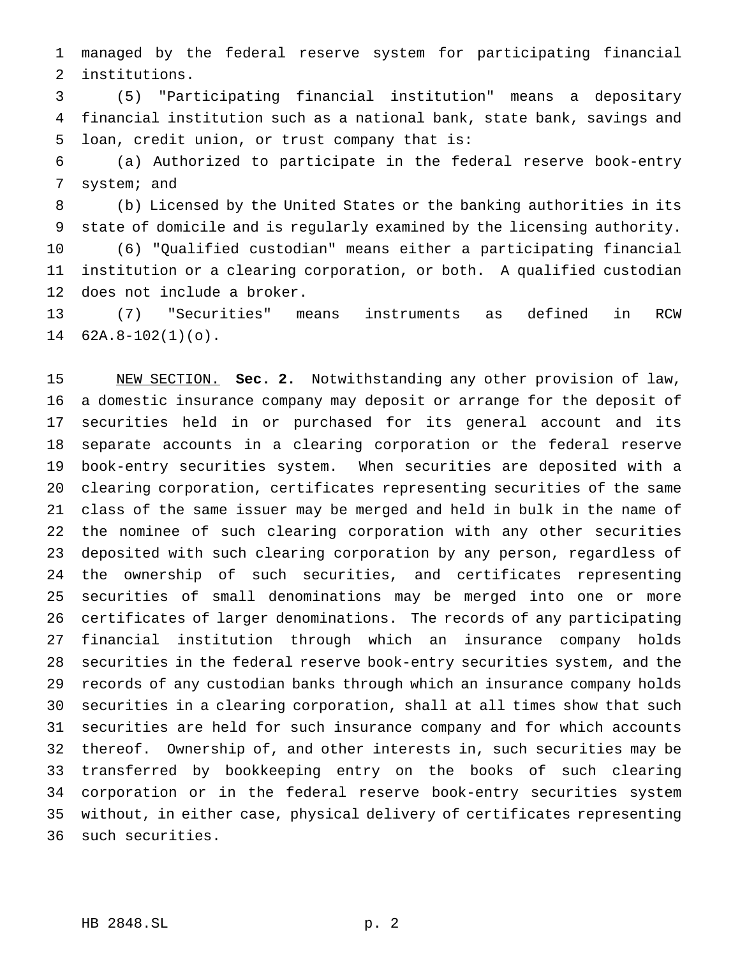managed by the federal reserve system for participating financial institutions.

 (5) "Participating financial institution" means a depositary financial institution such as a national bank, state bank, savings and loan, credit union, or trust company that is:

 (a) Authorized to participate in the federal reserve book-entry system; and

 (b) Licensed by the United States or the banking authorities in its state of domicile and is regularly examined by the licensing authority.

 (6) "Qualified custodian" means either a participating financial institution or a clearing corporation, or both. A qualified custodian does not include a broker.

 (7) "Securities" means instruments as defined in RCW 62A.8-102(1)(o).

 NEW SECTION. **Sec. 2.** Notwithstanding any other provision of law, a domestic insurance company may deposit or arrange for the deposit of securities held in or purchased for its general account and its separate accounts in a clearing corporation or the federal reserve book-entry securities system. When securities are deposited with a clearing corporation, certificates representing securities of the same class of the same issuer may be merged and held in bulk in the name of the nominee of such clearing corporation with any other securities deposited with such clearing corporation by any person, regardless of the ownership of such securities, and certificates representing securities of small denominations may be merged into one or more certificates of larger denominations. The records of any participating financial institution through which an insurance company holds securities in the federal reserve book-entry securities system, and the records of any custodian banks through which an insurance company holds securities in a clearing corporation, shall at all times show that such securities are held for such insurance company and for which accounts thereof. Ownership of, and other interests in, such securities may be transferred by bookkeeping entry on the books of such clearing corporation or in the federal reserve book-entry securities system without, in either case, physical delivery of certificates representing such securities.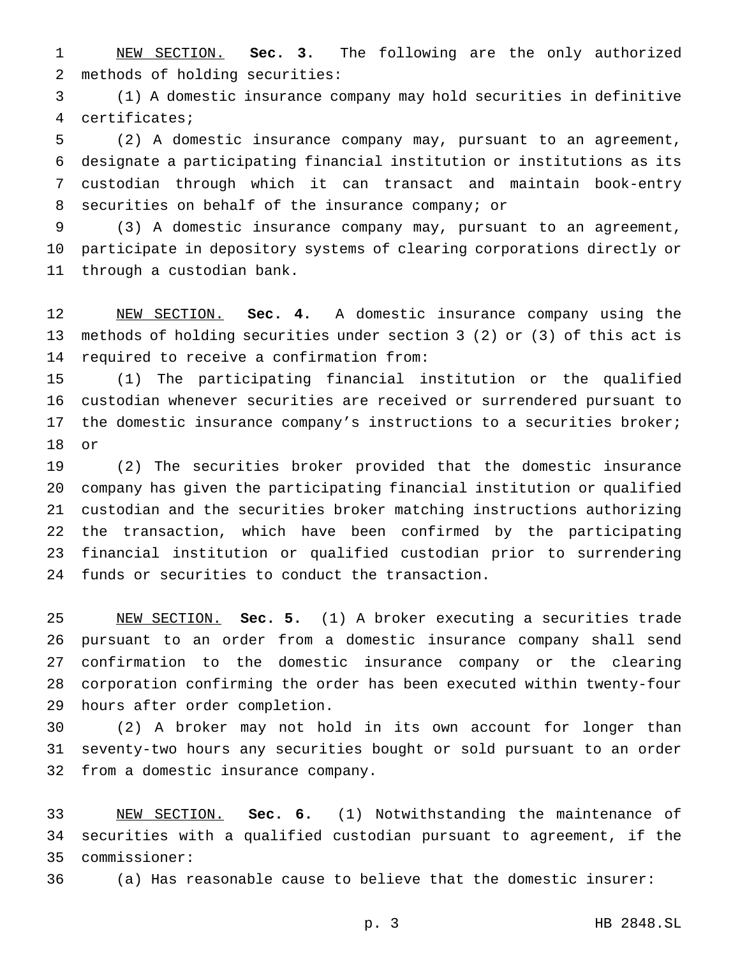NEW SECTION. **Sec. 3.** The following are the only authorized methods of holding securities:

 (1) A domestic insurance company may hold securities in definitive certificates;

 (2) A domestic insurance company may, pursuant to an agreement, designate a participating financial institution or institutions as its custodian through which it can transact and maintain book-entry securities on behalf of the insurance company; or

 (3) A domestic insurance company may, pursuant to an agreement, participate in depository systems of clearing corporations directly or through a custodian bank.

 NEW SECTION. **Sec. 4.** A domestic insurance company using the methods of holding securities under section 3 (2) or (3) of this act is required to receive a confirmation from:

 (1) The participating financial institution or the qualified custodian whenever securities are received or surrendered pursuant to the domestic insurance company's instructions to a securities broker; or

 (2) The securities broker provided that the domestic insurance company has given the participating financial institution or qualified custodian and the securities broker matching instructions authorizing the transaction, which have been confirmed by the participating financial institution or qualified custodian prior to surrendering funds or securities to conduct the transaction.

 NEW SECTION. **Sec. 5.** (1) A broker executing a securities trade pursuant to an order from a domestic insurance company shall send confirmation to the domestic insurance company or the clearing corporation confirming the order has been executed within twenty-four hours after order completion.

 (2) A broker may not hold in its own account for longer than seventy-two hours any securities bought or sold pursuant to an order from a domestic insurance company.

 NEW SECTION. **Sec. 6.** (1) Notwithstanding the maintenance of securities with a qualified custodian pursuant to agreement, if the commissioner:

(a) Has reasonable cause to believe that the domestic insurer:

p. 3 HB 2848.SL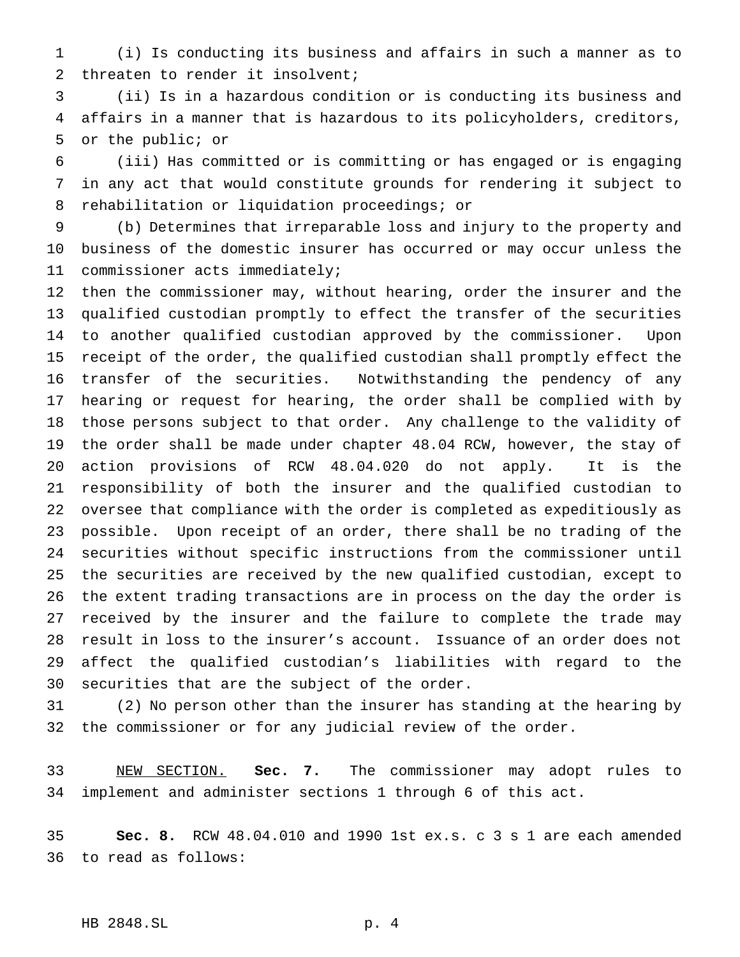(i) Is conducting its business and affairs in such a manner as to threaten to render it insolvent;

 (ii) Is in a hazardous condition or is conducting its business and affairs in a manner that is hazardous to its policyholders, creditors, or the public; or

 (iii) Has committed or is committing or has engaged or is engaging in any act that would constitute grounds for rendering it subject to rehabilitation or liquidation proceedings; or

 (b) Determines that irreparable loss and injury to the property and business of the domestic insurer has occurred or may occur unless the commissioner acts immediately;

 then the commissioner may, without hearing, order the insurer and the qualified custodian promptly to effect the transfer of the securities to another qualified custodian approved by the commissioner. Upon receipt of the order, the qualified custodian shall promptly effect the transfer of the securities. Notwithstanding the pendency of any hearing or request for hearing, the order shall be complied with by those persons subject to that order. Any challenge to the validity of the order shall be made under chapter 48.04 RCW, however, the stay of action provisions of RCW 48.04.020 do not apply. It is the responsibility of both the insurer and the qualified custodian to oversee that compliance with the order is completed as expeditiously as possible. Upon receipt of an order, there shall be no trading of the securities without specific instructions from the commissioner until the securities are received by the new qualified custodian, except to the extent trading transactions are in process on the day the order is received by the insurer and the failure to complete the trade may result in loss to the insurer's account. Issuance of an order does not affect the qualified custodian's liabilities with regard to the securities that are the subject of the order.

 (2) No person other than the insurer has standing at the hearing by the commissioner or for any judicial review of the order.

 NEW SECTION. **Sec. 7.** The commissioner may adopt rules to implement and administer sections 1 through 6 of this act.

 **Sec. 8.** RCW 48.04.010 and 1990 1st ex.s. c 3 s 1 are each amended to read as follows:

## HB 2848.SL p. 4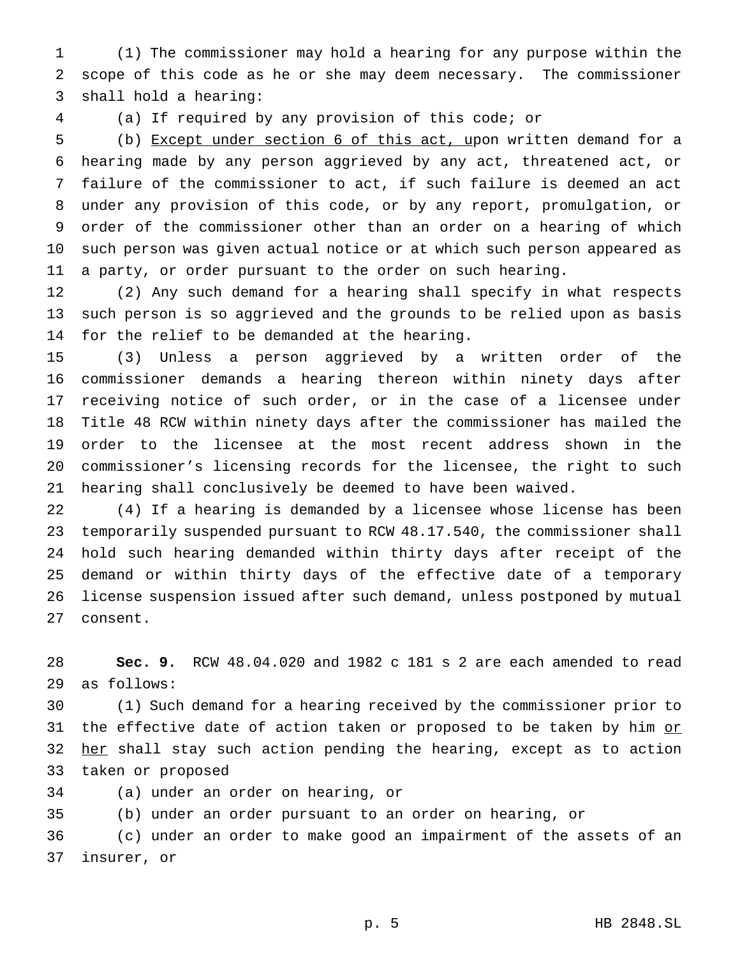(1) The commissioner may hold a hearing for any purpose within the scope of this code as he or she may deem necessary. The commissioner shall hold a hearing:

(a) If required by any provision of this code; or

 (b) Except under section 6 of this act, upon written demand for a hearing made by any person aggrieved by any act, threatened act, or failure of the commissioner to act, if such failure is deemed an act under any provision of this code, or by any report, promulgation, or order of the commissioner other than an order on a hearing of which such person was given actual notice or at which such person appeared as a party, or order pursuant to the order on such hearing.

 (2) Any such demand for a hearing shall specify in what respects such person is so aggrieved and the grounds to be relied upon as basis for the relief to be demanded at the hearing.

 (3) Unless a person aggrieved by a written order of the commissioner demands a hearing thereon within ninety days after receiving notice of such order, or in the case of a licensee under Title 48 RCW within ninety days after the commissioner has mailed the order to the licensee at the most recent address shown in the commissioner's licensing records for the licensee, the right to such hearing shall conclusively be deemed to have been waived.

 (4) If a hearing is demanded by a licensee whose license has been temporarily suspended pursuant to RCW 48.17.540, the commissioner shall hold such hearing demanded within thirty days after receipt of the demand or within thirty days of the effective date of a temporary license suspension issued after such demand, unless postponed by mutual consent.

 **Sec. 9.** RCW 48.04.020 and 1982 c 181 s 2 are each amended to read as follows:

 (1) Such demand for a hearing received by the commissioner prior to 31 the effective date of action taken or proposed to be taken by him or 32 her shall stay such action pending the hearing, except as to action taken or proposed

(a) under an order on hearing, or

(b) under an order pursuant to an order on hearing, or

 (c) under an order to make good an impairment of the assets of an insurer, or